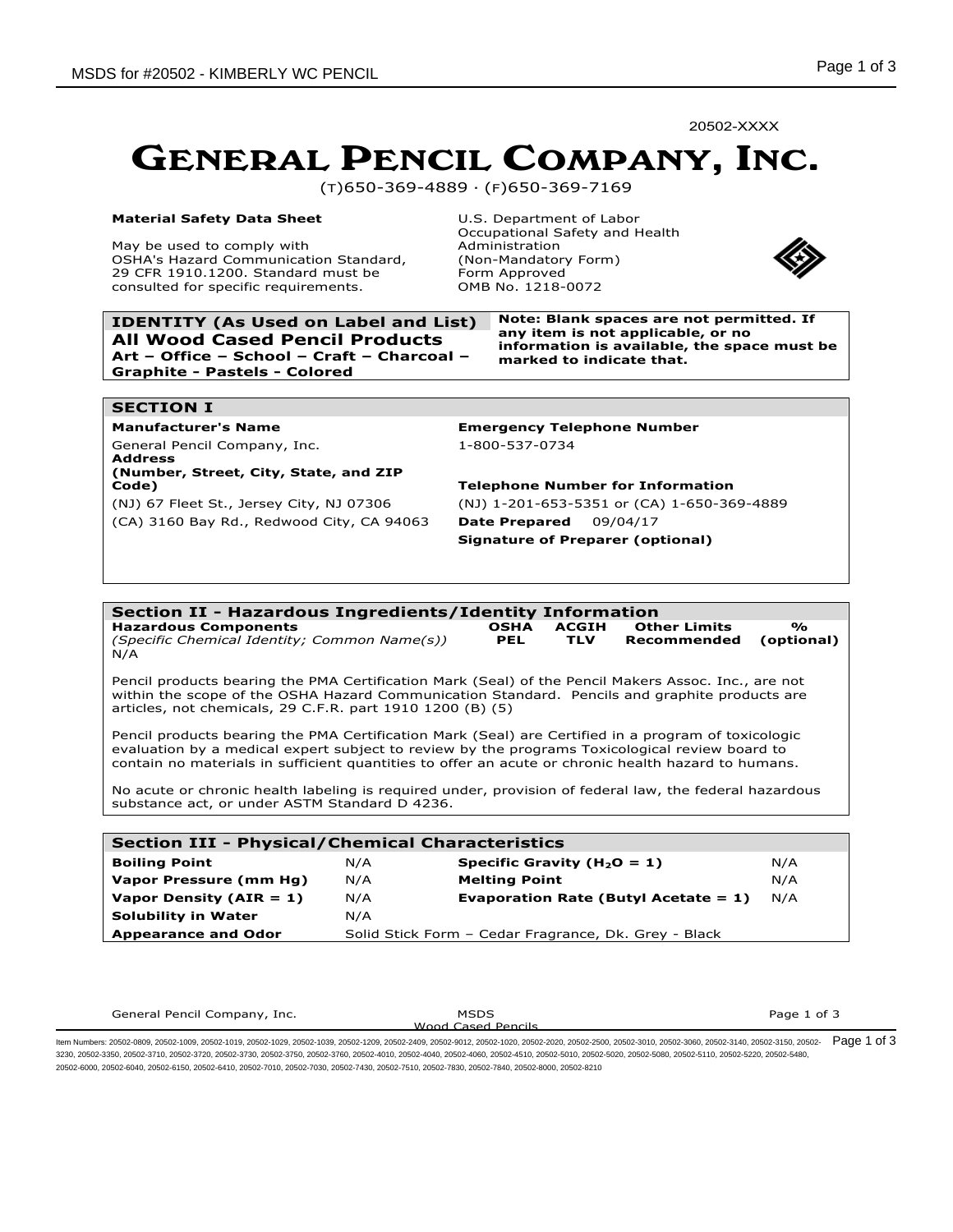20502-XXXX

# GENERAL PENCIL COMPANY, INC.

(T)650-369-4889 · (F)650-369-7169

### **Material Safety Data Sheet**

May be used to comply with OSHA's Hazard Communication Standard, 29 CFR 1910.1200. Standard must be consulted for specific requirements.

U.S. Department of Labor Occupational Safety and Health Administration (Non-Mandatory Form) Form Approved OMB No. 1218-0072



**IDENTITY (As Used on Label and List) Note: Blank spaces are not permitted. If All Wood Cased Pencil Products Art – Office – School – Craft – Charcoal – Graphite - Pastels - Colored**

**any item is not applicable, or no information is available, the space must be marked to indicate that.**

### **SECTION I**

General Pencil Company, Inc. 1-800-537-0734 **Address**

### **(Number, Street, City, State, and ZIP Code) Telephone Number for Information**

(CA) 3160 Bay Rd., Redwood City, CA 94063 **Date Prepared** 09/04/17

**Manufacturer's Name Emergency Telephone Number**

(NJ) 67 Fleet St., Jersey City, NJ 07306 (NJ) 1-201-653-5351 or (CA) 1-650-369-4889 **Signature of Preparer (optional)** 

#### **Section II - Hazardous Ingredients/Identity Information Hazardous Components** *(Specific Chemical Identity; Common Name(s))* **OSHA PEL ACGIH TLV Other Limits Recommended % (optional)** N/A Pencil products bearing the PMA Certification Mark (Seal) of the Pencil Makers Assoc. Inc., are not within the scope of the OSHA Hazard Communication Standard. Pencils and graphite products are articles, not chemicals, 29 C.F.R. part 1910 1200 (B) (5) Pencil products bearing the PMA Certification Mark (Seal) are Certified in a program of toxicologic evaluation by a medical expert subject to review by the programs Toxicological review board to contain no materials in sufficient quantities to offer an acute or chronic health hazard to humans. No acute or chronic health labeling is required under, provision of federal law, the federal hazardous substance act, or under ASTM Standard D 4236. **Section III - Physical/Chemical Characteristics**

| Section III - Physical/Chemical Characteristics |                                                      |                                         |     |  |  |  |
|-------------------------------------------------|------------------------------------------------------|-----------------------------------------|-----|--|--|--|
| <b>Boiling Point</b>                            | N/A                                                  | Specific Gravity ( $H_2O = 1$ )         | N/A |  |  |  |
| Vapor Pressure (mm Hg)                          | N/A                                                  | <b>Melting Point</b>                    | N/A |  |  |  |
| Vapor Density ( $AIR = 1$ )                     | N/A                                                  | Evaporation Rate (Butyl Acetate $= 1$ ) | N/A |  |  |  |
| <b>Solubility in Water</b>                      | N/A                                                  |                                         |     |  |  |  |
| <b>Appearance and Odor</b>                      | Solid Stick Form - Cedar Fragrance, Dk. Grey - Black |                                         |     |  |  |  |

| General Pencil Company, Inc. | <b>MSDS</b>        | Page 1 of 3 |
|------------------------------|--------------------|-------------|
|                              | Wood Cased Pencils |             |
|                              |                    |             |

ltem Numbers: 20502-0809, 20502-1009, 20502-1019, 20502-1029, 20502-1039, 20502-2209, 20502-2409, 20502-0120, 20502-1020, 20502-2000, 20502-2000, 20502-3010, 20502-3010, 20502-3010, 20502-3140, 20502-3150, 20502-3150, 2050 3230, 20502-3350, 20502-3710, 20502-3720, 20502-3730, 20502-3750, 20502-3760, 20502-4010, 20502-4040, 20502-4060, 20502-4510, 20502-5010, 20502-5020, 20502-5080, 20502-5110, 20502-5220, 20502-5480, 20502-6000, 20502-6040, 20502-6150, 20502-6410, 20502-7010, 20502-7030, 20502-7430, 20502-7510, 20502-7830, 20502-7840, 20502-8000, 20502-8210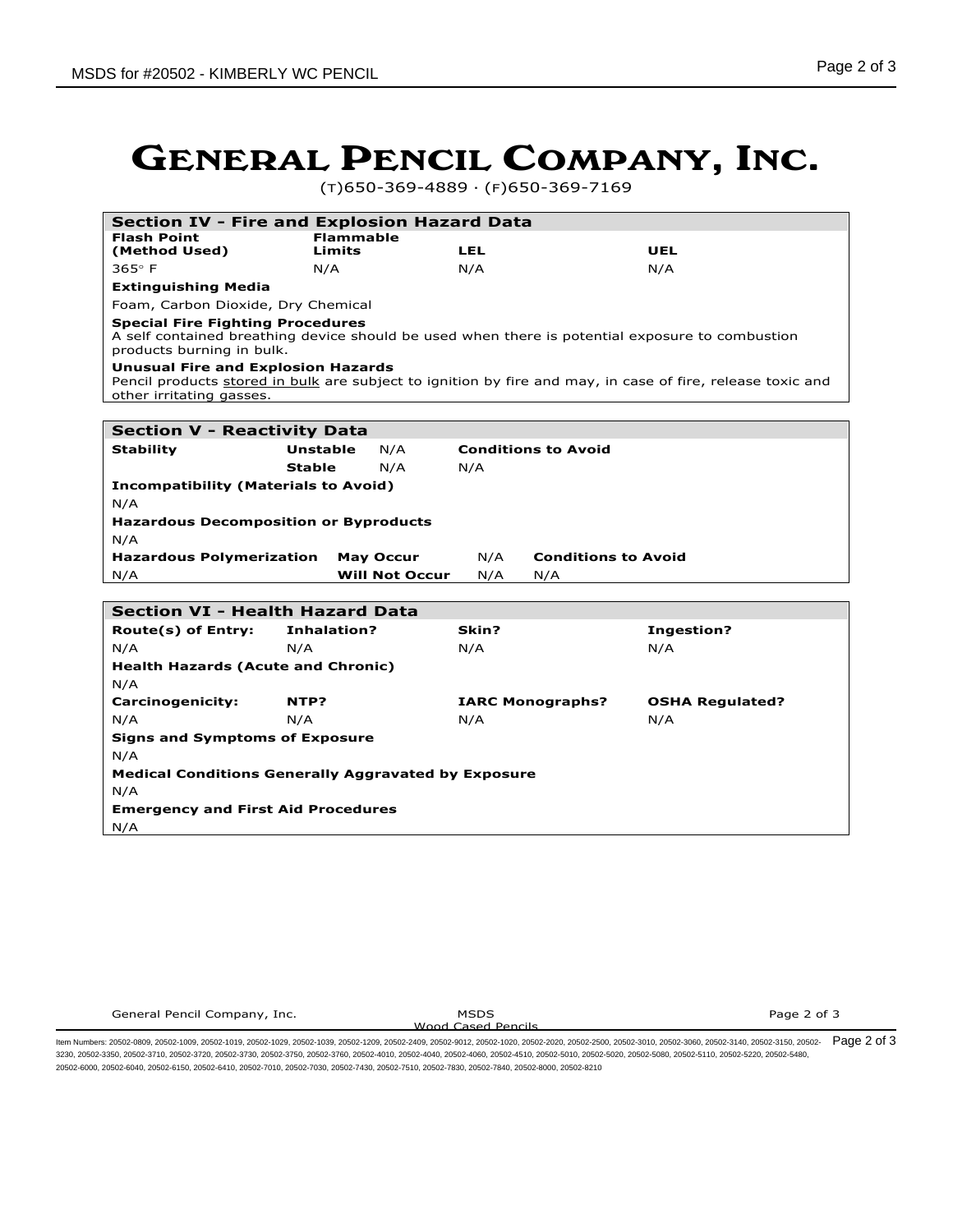# GENERAL PENCIL COMPANY, INC.

(T)650-369-4889 · (F)650-369-7169

|                                                                       |                  |                       | <b>Section IV - Fire and Explosion Hazard Data</b> |                                                                                                            |
|-----------------------------------------------------------------------|------------------|-----------------------|----------------------------------------------------|------------------------------------------------------------------------------------------------------------|
| <b>Flash Point</b>                                                    | <b>Flammable</b> |                       |                                                    |                                                                                                            |
| (Method Used)                                                         | Limits           |                       | LEL                                                | UEL                                                                                                        |
| $365^\circ$ F                                                         | N/A              |                       | N/A                                                | N/A                                                                                                        |
| <b>Extinguishing Media</b>                                            |                  |                       |                                                    |                                                                                                            |
| Foam, Carbon Dioxide, Dry Chemical                                    |                  |                       |                                                    |                                                                                                            |
| <b>Special Fire Fighting Procedures</b><br>products burning in bulk.  |                  |                       |                                                    | A self contained breathing device should be used when there is potential exposure to combustion            |
| <b>Unusual Fire and Explosion Hazards</b><br>other irritating gasses. |                  |                       |                                                    | Pencil products stored in bulk are subject to ignition by fire and may, in case of fire, release toxic and |
|                                                                       |                  |                       |                                                    |                                                                                                            |
| <b>Section V - Reactivity Data</b>                                    |                  |                       |                                                    |                                                                                                            |
| <b>Stability</b>                                                      | <b>Unstable</b>  | N/A                   | <b>Conditions to Avoid</b>                         |                                                                                                            |
|                                                                       | <b>Stable</b>    | N/A                   | N/A                                                |                                                                                                            |
| <b>Incompatibility (Materials to Avoid)</b>                           |                  |                       |                                                    |                                                                                                            |
| N/A                                                                   |                  |                       |                                                    |                                                                                                            |
| <b>Hazardous Decomposition or Byproducts</b>                          |                  |                       |                                                    |                                                                                                            |
| N/A                                                                   |                  |                       |                                                    |                                                                                                            |
| <b>Hazardous Polymerization</b>                                       |                  | <b>May Occur</b>      | N/A<br><b>Conditions to Avoid</b>                  |                                                                                                            |
| N/A                                                                   |                  | <b>Will Not Occur</b> | N/A<br>N/A                                         |                                                                                                            |
|                                                                       |                  |                       |                                                    |                                                                                                            |
|                                                                       |                  |                       |                                                    |                                                                                                            |
| <b>Section VI - Health Hazard Data</b>                                |                  |                       |                                                    |                                                                                                            |
| Route(s) of Entry:                                                    | Inhalation?      |                       | Skin?                                              | <b>Ingestion?</b>                                                                                          |
| N/A                                                                   | N/A              |                       | N/A                                                | N/A                                                                                                        |
| <b>Health Hazards (Acute and Chronic)</b>                             |                  |                       |                                                    |                                                                                                            |
| N/A                                                                   |                  |                       |                                                    |                                                                                                            |
| <b>Carcinogenicity:</b>                                               | NTP?             |                       | <b>IARC Monographs?</b>                            | <b>OSHA Regulated?</b>                                                                                     |
| N/A                                                                   | N/A              |                       | N/A                                                | N/A                                                                                                        |
|                                                                       |                  |                       |                                                    |                                                                                                            |
| <b>Signs and Symptoms of Exposure</b>                                 |                  |                       |                                                    |                                                                                                            |
| N/A                                                                   |                  |                       |                                                    |                                                                                                            |
| <b>Medical Conditions Generally Aggravated by Exposure</b>            |                  |                       |                                                    |                                                                                                            |
| N/A                                                                   |                  |                       |                                                    |                                                                                                            |
| <b>Emergency and First Aid Procedures</b><br>N/A                      |                  |                       |                                                    |                                                                                                            |

Wood Cased Pencils

Page 2 of 3

ltem Numbers: 20502-0809, 20502-1009, 20502-1019, 20502-1029, 20502-1039, 20502-2209, 20502-2409, 20502-0120, 20502-1020, 20502-2000, 20502-2000, 20502-3010, 20502-3010, 20502-3010, 20502-3140, 20502-3150, 20502-3002-3150, 3230, 20502-3350, 20502-3710, 20502-3720, 20502-3730, 20502-3750, 20502-3760, 20502-4010, 20502-4040, 20502-4060, 20502-4510, 20502-5010, 20502-5020, 20502-5080, 20502-5110, 20502-5220, 20502-5480, 20502-6000, 20502-6040, 20502-6150, 20502-6410, 20502-7010, 20502-7030, 20502-7430, 20502-7510, 20502-7830, 20502-7840, 20502-8000, 20502-8210